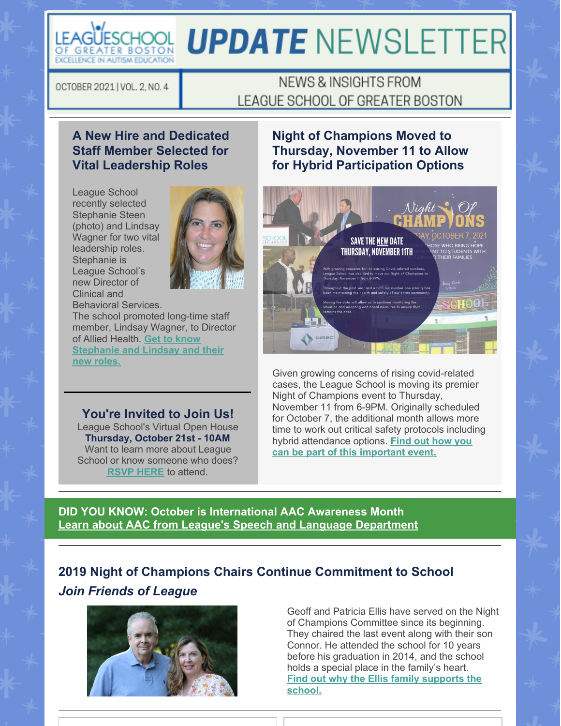

# **UPDATE NEWSLETTER**

OCTOBER 2021 | VOL. 2, NO. 4

# NEWS & INSIGHTS FROM LEAGUE SCHOOL OF GREATER BOSTON

## **A New Hire and Dedicated Staff Member Selected for Vital Leadership Roles**

League School recently selected Stephanie Steen (photo) and Lindsay Wagner for two vital leadership roles. Stephanie is League School's new Director of Clinical and Behavioral Services.



The school promoted long-time staff member, Lindsay Wagner, to Director of Allied Health. **Get to know [Stephanie](https://leagueschool.org/a-new-hire-and-dedicated-staff-member-selected-for-vital-leadership-roles/) and Lindsay and their new roles.**

#### **You're Invited to Join Us!**

League School's Virtual Open House **Thursday, October 21st - 10AM** Want to learn more about League School or know someone who does? **RSVP [HERE](https://docs.google.com/forms/d/e/1FAIpQLSey7QRoDwo7oe2GVzN2eSbZSgPU15vet62ZNzpWQs3egceyWg/viewform)** to attend.

### **Night of Champions Moved to Thursday, November 11 to Allow for Hybrid Participation Options**



Given growing concerns of rising covid-related cases, the League School is moving its premier Night of Champions event to Thursday, November 11 from 6-9PM. Originally scheduled for October 7, the additional month allows more time to work out critical safety protocols including hybrid [attendance](https://leagueschool.org/night-of-champions-set-for-october-7th/) options. **Find out how you can be part of this important event.**

**DID YOU KNOW: October is International AAC Awareness Month Learn about AAC from League's Speech and Language [Department](https://files.constantcontact.com/ee0f4e31501/9508ea64-a1be-4166-b99c-a58018520483.pdf?rdr=true)**

## **2019 Night of Champions Chairs Continue Commitment to School** *Join Friends of League*



Geoff and Patricia Ellis have served on the Night of Champions Committee since its beginning. They chaired the last event along with their son Connor. He attended the school for 10 years before his graduation in 2014, and the school holds a special place in the family's heart. **Find out why the Ellis family [supports](https://leagueschool.org/2019-night-of-champions-chairs-continue-commitment-to-school/) the school.**